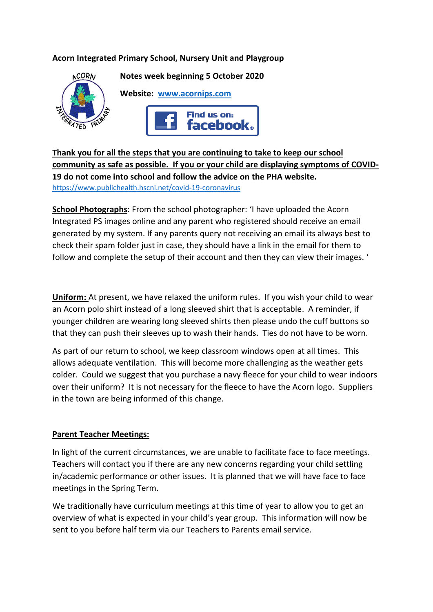# **Acorn Integrated Primary School, Nursery Unit and Playgroup**



**Thank you for all the steps that you are continuing to take to keep our school community as safe as possible. If you or your child are displaying symptoms of COVID-19 do not come into school and follow the advice on the PHA website.**  <https://www.publichealth.hscni.net/covid-19-coronavirus>

**School Photographs**: From the school photographer: 'I have uploaded the Acorn Integrated PS images online and any parent who registered should receive an email generated by my system. If any parents query not receiving an email its always best to check their spam folder just in case, they should have a link in the email for them to follow and complete the setup of their account and then they can view their images. '

**Uniform:** At present, we have relaxed the uniform rules. If you wish your child to wear an Acorn polo shirt instead of a long sleeved shirt that is acceptable. A reminder, if younger children are wearing long sleeved shirts then please undo the cuff buttons so that they can push their sleeves up to wash their hands. Ties do not have to be worn.

As part of our return to school, we keep classroom windows open at all times. This allows adequate ventilation. This will become more challenging as the weather gets colder. Could we suggest that you purchase a navy fleece for your child to wear indoors over their uniform? It is not necessary for the fleece to have the Acorn logo. Suppliers in the town are being informed of this change.

### **Parent Teacher Meetings:**

In light of the current circumstances, we are unable to facilitate face to face meetings. Teachers will contact you if there are any new concerns regarding your child settling in/academic performance or other issues. It is planned that we will have face to face meetings in the Spring Term.

We traditionally have curriculum meetings at this time of year to allow you to get an overview of what is expected in your child's year group. This information will now be sent to you before half term via our Teachers to Parents email service.